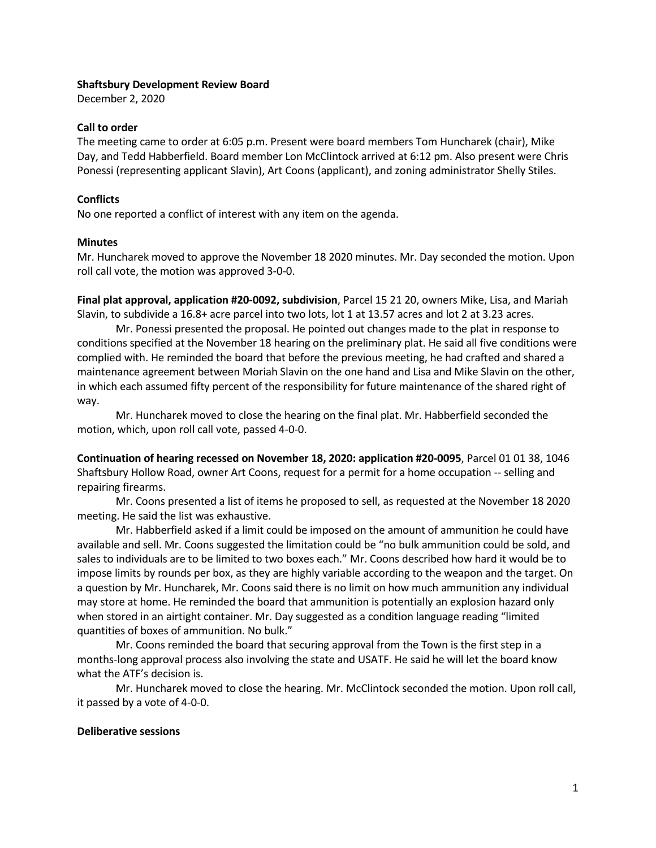#### Shaftsbury Development Review Board

December 2, 2020

#### Call to order

The meeting came to order at 6:05 p.m. Present were board members Tom Huncharek (chair), Mike Day, and Tedd Habberfield. Board member Lon McClintock arrived at 6:12 pm. Also present were Chris Ponessi (representing applicant Slavin), Art Coons (applicant), and zoning administrator Shelly Stiles.

### **Conflicts**

No one reported a conflict of interest with any item on the agenda.

## Minutes

Mr. Huncharek moved to approve the November 18 2020 minutes. Mr. Day seconded the motion. Upon roll call vote, the motion was approved 3-0-0.

Final plat approval, application #20-0092, subdivision, Parcel 15 21 20, owners Mike, Lisa, and Mariah Slavin, to subdivide a 16.8+ acre parcel into two lots, lot 1 at 13.57 acres and lot 2 at 3.23 acres.

Mr. Ponessi presented the proposal. He pointed out changes made to the plat in response to conditions specified at the November 18 hearing on the preliminary plat. He said all five conditions were complied with. He reminded the board that before the previous meeting, he had crafted and shared a maintenance agreement between Moriah Slavin on the one hand and Lisa and Mike Slavin on the other, in which each assumed fifty percent of the responsibility for future maintenance of the shared right of way.

Mr. Huncharek moved to close the hearing on the final plat. Mr. Habberfield seconded the motion, which, upon roll call vote, passed 4-0-0.

Continuation of hearing recessed on November 18, 2020: application #20-0095, Parcel 01 01 38, 1046 Shaftsbury Hollow Road, owner Art Coons, request for a permit for a home occupation -- selling and repairing firearms.

Mr. Coons presented a list of items he proposed to sell, as requested at the November 18 2020 meeting. He said the list was exhaustive.

Mr. Habberfield asked if a limit could be imposed on the amount of ammunition he could have available and sell. Mr. Coons suggested the limitation could be "no bulk ammunition could be sold, and sales to individuals are to be limited to two boxes each." Mr. Coons described how hard it would be to impose limits by rounds per box, as they are highly variable according to the weapon and the target. On a question by Mr. Huncharek, Mr. Coons said there is no limit on how much ammunition any individual may store at home. He reminded the board that ammunition is potentially an explosion hazard only when stored in an airtight container. Mr. Day suggested as a condition language reading "limited quantities of boxes of ammunition. No bulk."

Mr. Coons reminded the board that securing approval from the Town is the first step in a months-long approval process also involving the state and USATF. He said he will let the board know what the ATF's decision is.

Mr. Huncharek moved to close the hearing. Mr. McClintock seconded the motion. Upon roll call, it passed by a vote of 4-0-0.

### Deliberative sessions